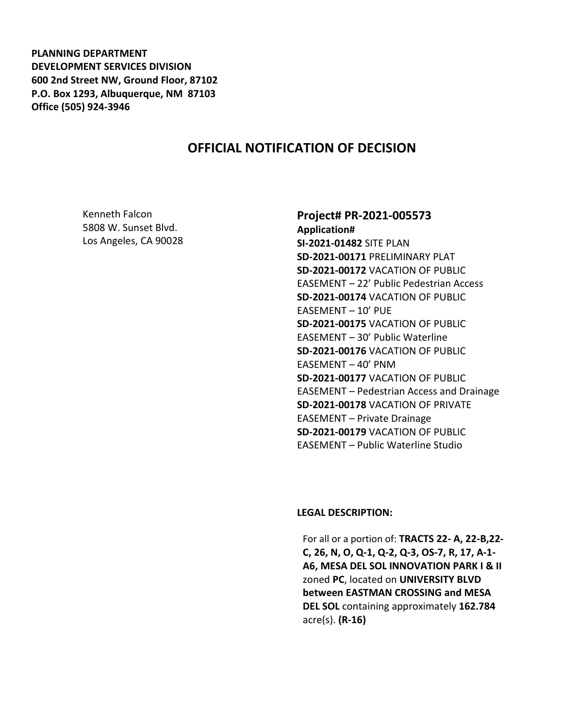**PLANNING DEPARTMENT DEVELOPMENT SERVICES DIVISION 600 2nd Street NW, Ground Floor, 87102 P.O. Box 1293, Albuquerque, NM 87103 Office (505) 924-3946** 

# **OFFICIAL NOTIFICATION OF DECISION**

Kenneth Falcon 5808 W. Sunset Blvd. Los Angeles, CA 90028

#### **Project# PR-2021-005573 Application#**

**SI-2021-01482** SITE PLAN **SD-2021-00171** PRELIMINARY PLAT **SD-2021-00172** VACATION OF PUBLIC EASEMENT – 22' Public Pedestrian Access **SD-2021-00174** VACATION OF PUBLIC EASEMENT – 10' PUE **SD-2021-00175** VACATION OF PUBLIC EASEMENT – 30' Public Waterline **SD-2021-00176** VACATION OF PUBLIC EASEMENT – 40' PNM **SD-2021-00177** VACATION OF PUBLIC EASEMENT – Pedestrian Access and Drainage **SD-2021-00178** VACATION OF PRIVATE EASEMENT – Private Drainage **SD-2021-00179** VACATION OF PUBLIC EASEMENT – Public Waterline Studio

#### **LEGAL DESCRIPTION:**

For all or a portion of: **TRACTS 22- A, 22-B,22- C, 26, N, O, Q-1, Q-2, Q-3, OS-7, R, 17, A-1- A6, MESA DEL SOL INNOVATION PARK I & II**  zoned **PC**, located on **UNIVERSITY BLVD between EASTMAN CROSSING and MESA DEL SOL** containing approximately **162.784**  acre(s). **(R-16)**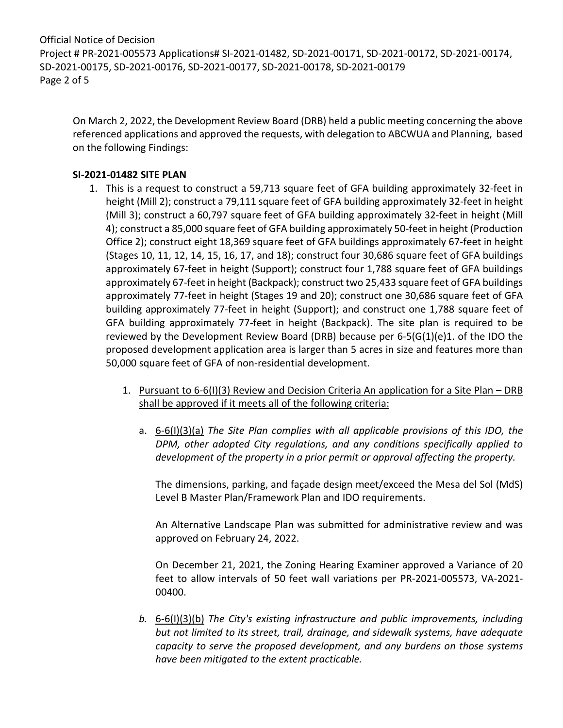Official Notice of Decision Project # PR-2021-005573 Applications# SI-2021-01482, SD-2021-00171, SD-2021-00172, SD-2021-00174, SD-2021-00175, SD-2021-00176, SD-2021-00177, SD-2021-00178, SD-2021-00179 Page 2 of 5

On March 2, 2022, the Development Review Board (DRB) held a public meeting concerning the above referenced applications and approved the requests, with delegation to ABCWUA and Planning, based on the following Findings:

### **SI-2021-01482 SITE PLAN**

- 1. This is a request to construct a 59,713 square feet of GFA building approximately 32-feet in height (Mill 2); construct a 79,111 square feet of GFA building approximately 32-feet in height (Mill 3); construct a 60,797 square feet of GFA building approximately 32-feet in height (Mill 4); construct a 85,000 square feet of GFA building approximately 50-feet in height (Production Office 2); construct eight 18,369 square feet of GFA buildings approximately 67-feet in height (Stages 10, 11, 12, 14, 15, 16, 17, and 18); construct four 30,686 square feet of GFA buildings approximately 67-feet in height (Support); construct four 1,788 square feet of GFA buildings approximately 67-feet in height (Backpack); construct two 25,433 square feet of GFA buildings approximately 77-feet in height (Stages 19 and 20); construct one 30,686 square feet of GFA building approximately 77-feet in height (Support); and construct one 1,788 square feet of GFA building approximately 77-feet in height (Backpack). The site plan is required to be reviewed by the Development Review Board (DRB) because per 6-5(G(1)(e)1. of the IDO the proposed development application area is larger than 5 acres in size and features more than 50,000 square feet of GFA of non-residential development.
	- 1. Pursuant to 6-6(I)(3) Review and Decision Criteria An application for a Site Plan DRB shall be approved if it meets all of the following criteria:
		- a. 6-6(I)(3)(a) *The Site Plan complies with all applicable provisions of this IDO, the DPM, other adopted City regulations, and any conditions specifically applied to development of the property in a prior permit or approval affecting the property.*

The dimensions, parking, and façade design meet/exceed the Mesa del Sol (MdS) Level B Master Plan/Framework Plan and IDO requirements.

An Alternative Landscape Plan was submitted for administrative review and was approved on February 24, 2022.

On December 21, 2021, the Zoning Hearing Examiner approved a Variance of 20 feet to allow intervals of 50 feet wall variations per PR-2021-005573, VA-2021- 00400.

*b.* 6-6(I)(3)(b) *The City's existing infrastructure and public improvements, including but not limited to its street, trail, drainage, and sidewalk systems, have adequate capacity to serve the proposed development, and any burdens on those systems have been mitigated to the extent practicable.*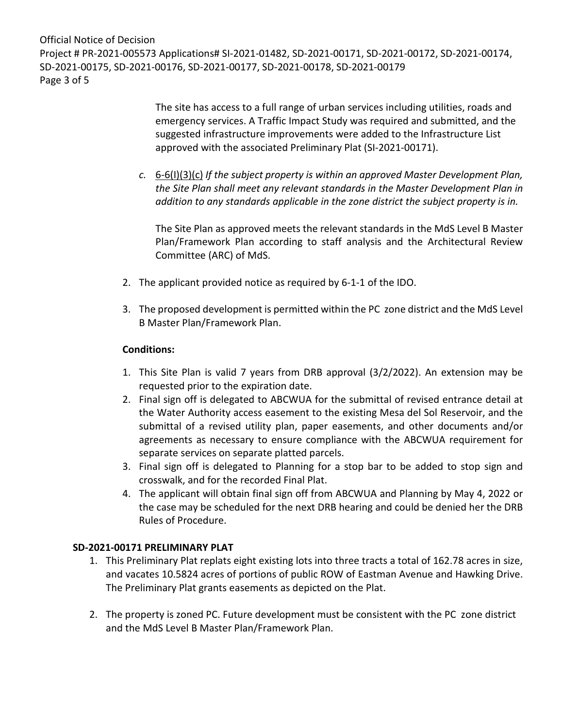Official Notice of Decision Project # PR-2021-005573 Applications# SI-2021-01482, SD-2021-00171, SD-2021-00172, SD-2021-00174, SD-2021-00175, SD-2021-00176, SD-2021-00177, SD-2021-00178, SD-2021-00179 Page 3 of 5

> The site has access to a full range of urban services including utilities, roads and emergency services. A Traffic Impact Study was required and submitted, and the suggested infrastructure improvements were added to the Infrastructure List approved with the associated Preliminary Plat (SI-2021-00171).

*c.* 6-6(I)(3)(c) *If the subject property is within an approved Master Development Plan, the Site Plan shall meet any relevant standards in the Master Development Plan in addition to any standards applicable in the zone district the subject property is in.*

The Site Plan as approved meets the relevant standards in the MdS Level B Master Plan/Framework Plan according to staff analysis and the Architectural Review Committee (ARC) of MdS.

- 2. The applicant provided notice as required by 6-1-1 of the IDO.
- 3. The proposed development is permitted within the PC zone district and the MdS Level B Master Plan/Framework Plan.

### **Conditions:**

- 1. This Site Plan is valid 7 years from DRB approval (3/2/2022). An extension may be requested prior to the expiration date.
- 2. Final sign off is delegated to ABCWUA for the submittal of revised entrance detail at the Water Authority access easement to the existing Mesa del Sol Reservoir, and the submittal of a revised utility plan, paper easements, and other documents and/or agreements as necessary to ensure compliance with the ABCWUA requirement for separate services on separate platted parcels.
- 3. Final sign off is delegated to Planning for a stop bar to be added to stop sign and crosswalk, and for the recorded Final Plat.
- 4. The applicant will obtain final sign off from ABCWUA and Planning by May 4, 2022 or the case may be scheduled for the next DRB hearing and could be denied her the DRB Rules of Procedure.

#### **SD-2021-00171 PRELIMINARY PLAT**

- 1. This Preliminary Plat replats eight existing lots into three tracts a total of 162.78 acres in size, and vacates 10.5824 acres of portions of public ROW of Eastman Avenue and Hawking Drive. The Preliminary Plat grants easements as depicted on the Plat.
- 2. The property is zoned PC. Future development must be consistent with the PC zone district and the MdS Level B Master Plan/Framework Plan.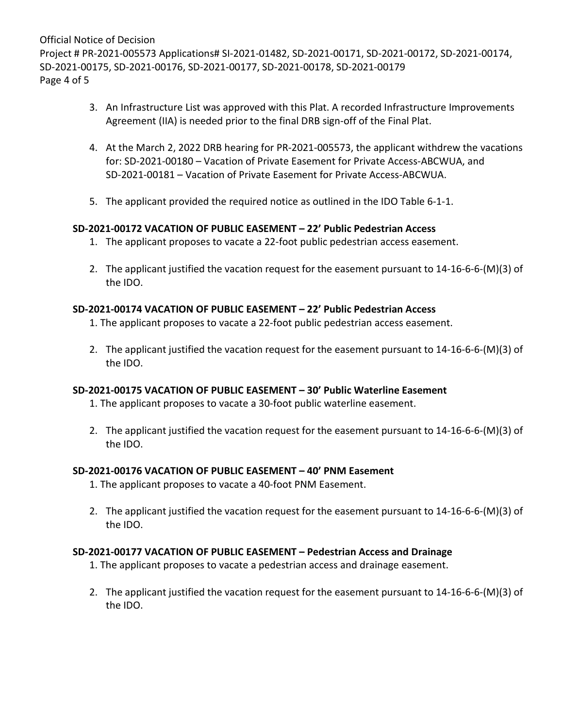Official Notice of Decision Project # PR-2021-005573 Applications# SI-2021-01482, SD-2021-00171, SD-2021-00172, SD-2021-00174, SD-2021-00175, SD-2021-00176, SD-2021-00177, SD-2021-00178, SD-2021-00179 Page 4 of 5

- 3. An Infrastructure List was approved with this Plat. A recorded Infrastructure Improvements Agreement (IIA) is needed prior to the final DRB sign-off of the Final Plat.
- 4. At the March 2, 2022 DRB hearing for PR-2021-005573, the applicant withdrew the vacations for: SD-2021-00180 – Vacation of Private Easement for Private Access-ABCWUA, and SD-2021-00181 – Vacation of Private Easement for Private Access-ABCWUA.
- 5. The applicant provided the required notice as outlined in the IDO Table 6-1-1.

### **SD-2021-00172 VACATION OF PUBLIC EASEMENT – 22' Public Pedestrian Access**

- 1. The applicant proposes to vacate a 22-foot public pedestrian access easement.
- 2. The applicant justified the vacation request for the easement pursuant to 14-16-6-6-(M)(3) of the IDO.

### **SD-2021-00174 VACATION OF PUBLIC EASEMENT – 22' Public Pedestrian Access**

- 1. The applicant proposes to vacate a 22-foot public pedestrian access easement.
- 2. The applicant justified the vacation request for the easement pursuant to 14-16-6-6-(M)(3) of the IDO.

# **SD-2021-00175 VACATION OF PUBLIC EASEMENT – 30' Public Waterline Easement**

- 1. The applicant proposes to vacate a 30-foot public waterline easement.
- 2. The applicant justified the vacation request for the easement pursuant to 14-16-6-6-(M)(3) of the IDO.

#### **SD-2021-00176 VACATION OF PUBLIC EASEMENT – 40' PNM Easement**

- 1. The applicant proposes to vacate a 40-foot PNM Easement.
- 2. The applicant justified the vacation request for the easement pursuant to 14-16-6-6-(M)(3) of the IDO.

# **SD-2021-00177 VACATION OF PUBLIC EASEMENT – Pedestrian Access and Drainage**

- 1. The applicant proposes to vacate a pedestrian access and drainage easement.
- 2. The applicant justified the vacation request for the easement pursuant to 14-16-6-6-(M)(3) of the IDO.